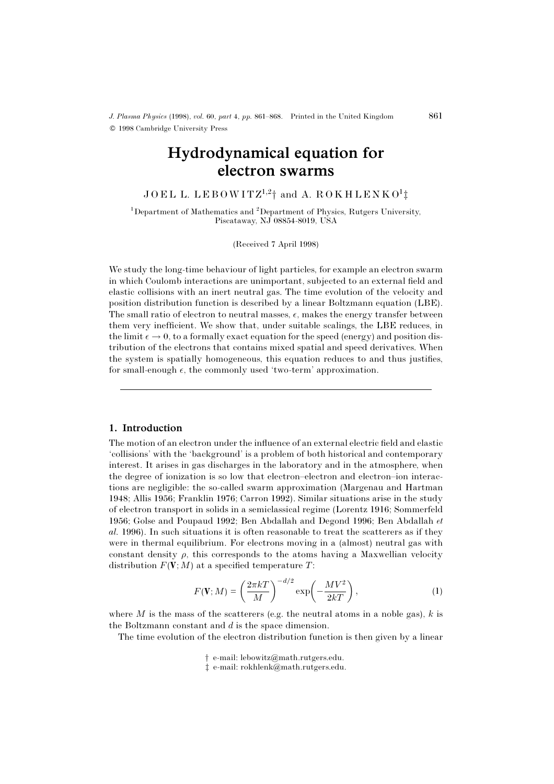# Hydrodynamical equation for electron swarms

 $JOEL$  L.  $LEBOWITZ^{1,2}$ † and A.  $ROKHLENKO<sup>1</sup>$ ‡

<sup>1</sup>Department of Mathematics and <sup>2</sup>Department of Physics, Rutgers University, Piscataway, NJ 08854-8019, USA

(Received 7 April 1998)

We study the long-time behaviour of light particles, for example an electron swarm in which Coulomb interactions are unimportant, subjected to an external field and elastic collisions with an inert neutral gas. The time evolution of the velocity and position distribution function is described by a linear Boltzmann equation (LBE). The small ratio of electron to neutral masses,  $\epsilon$ , makes the energy transfer between them very inefficient. We show that, under suitable scalings, the LBE reduces, in the limit  $\epsilon \to 0$ , to a formally exact equation for the speed (energy) and position distribution of the electrons that contains mixed spatial and speed derivatives. When the system is spatially homogeneous, this equation reduces to and thus justifies, for small-enough  $\epsilon$ , the commonly used 'two-term' approximation.

#### 1. Introduction

The motion of an electron under the influence of an external electric field and elastic 'collisions' with the 'background' is a problem of both historical and contemporary interest. It arises in gas discharges in the laboratory and in the atmosphere, when the degree of ionization is so low that electron–electron and electron–ion interactions are negligible: the so-called swarm approximation (Margenau and Hartman 1948; Allis 1956; Franklin 1976; Carron 1992). Similar situations arise in the study of electron transport in solids in a semiclassical regime (Lorentz 1916; Sommerfeld 1956; Golse and Poupaud 1992; Ben Abdallah and Degond 1996; Ben Abdallah et al. 1996). In such situations it is often reasonable to treat the scatterers as if they were in thermal equilibrium. For electrons moving in a (almost) neutral gas with constant density  $\rho$ , this corresponds to the atoms having a Maxwellian velocity distribution  $F(V;M)$  at a specified temperature  $T$ :

$$
F(\mathbf{V};M) = \left(\frac{2\pi kT}{M}\right)^{-d/2} \exp\left(-\frac{MV^2}{2kT}\right),\tag{1}
$$

where  $M$  is the mass of the scatterers (e.g. the neutral atoms in a noble gas),  $k$  is the Boltzmann constant and d is the space dimension.

The time evolution of the electron distribution function is then given by a linear

- † e-mail: lebowitz@math.rutgers.edu.
- ‡ e-mail: rokhlenk@math.rutgers.edu.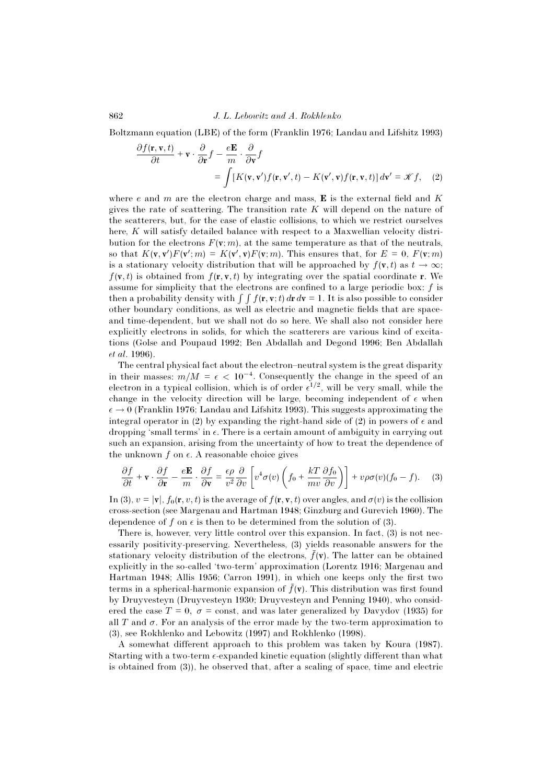Boltzmann equation (LBE) of the form (Franklin 1976; Landau and Lifshitz 1993)

$$
\frac{\partial f(\mathbf{r}, \mathbf{v}, t)}{\partial t} + \mathbf{v} \cdot \frac{\partial}{\partial \mathbf{r}} f - \frac{e \mathbf{E}}{m} \cdot \frac{\partial}{\partial \mathbf{v}} f \n= \int [K(\mathbf{v}, \mathbf{v}') f(\mathbf{r}, \mathbf{v}', t) - K(\mathbf{v}', \mathbf{v}) f(\mathbf{r}, \mathbf{v}, t)] d\mathbf{v}' = \mathcal{K} f, \quad (2)
$$

where e and m are the electron charge and mass,  $\bf{E}$  is the external field and K gives the rate of scattering. The transition rate  $K$  will depend on the nature of the scatterers, but, for the case of elastic collisions, to which we restrict ourselves here, K will satisfy detailed balance with respect to a Maxwellian velocity distribution for the electrons  $F(\mathbf{v}; m)$ , at the same temperature as that of the neutrals, so that  $K(\mathbf{v}, \mathbf{v}')F(\mathbf{v}'; m) = K(\mathbf{v}', \mathbf{v})F(\mathbf{v}; m)$ . This ensures that, for  $E = 0$ ,  $F(\mathbf{v}; m)$ is a stationary velocity distribution that will be approached by  $f(\mathbf{v},t)$  as  $t \to \infty$ ;  $f(\mathbf{v}, t)$  is obtained from  $f(\mathbf{r}, \mathbf{v}, t)$  by integrating over the spatial coordinate **r**. We assume for simplicity that the electrons are confined to a large periodic box:  $f$  is then a probability density with  $\int \int f(\mathbf{r}, \mathbf{v};t) d\mathbf{r} d\mathbf{v} = 1$ . It is also possible to consider other boundary conditions, as well as electric and magnetic fields that are spaceand time-dependent, but we shall not do so here. We shall also not consider here explicitly electrons in solids, for which the scatterers are various kind of excitations (Golse and Poupaud 1992; Ben Abdallah and Degond 1996; Ben Abdallah et al. 1996).

The central physical fact about the electron–neutral system is the great disparity in their masses:  $m/M = \epsilon < 10^{-4}$ . Consequently the change in the speed of an electron in a typical collision, which is of order  $\epsilon^{1/2}$ , will be very small, while the change in the velocity direction will be large, becoming independent of  $\epsilon$  when  $\epsilon \rightarrow 0$  (Franklin 1976; Landau and Lifshitz 1993). This suggests approximating the integral operator in (2) by expanding the right-hand side of (2) in powers of  $\epsilon$  and dropping 'small terms' in  $\epsilon$ . There is a certain amount of ambiguity in carrying out such an expansion, arising from the uncertainty of how to treat the dependence of the unknown  $f$  on  $\epsilon$ . A reasonable choice gives

$$
\frac{\partial f}{\partial t} + \mathbf{v} \cdot \frac{\partial f}{\partial \mathbf{r}} - \frac{e\mathbf{E}}{m} \cdot \frac{\partial f}{\partial \mathbf{v}} = \frac{\epsilon \rho}{v^2} \frac{\partial}{\partial v} \left[ v^4 \sigma(v) \left( f_0 + \frac{kT}{mv} \frac{\partial f_0}{\partial v} \right) \right] + v \rho \sigma(v) (f_0 - f). \tag{3}
$$

In (3),  $v = |\mathbf{v}|$ ,  $f_0(\mathbf{r}, v, t)$  is the average of  $f(\mathbf{r}, \mathbf{v}, t)$  over angles, and  $\sigma(v)$  is the collision cross-section (see Margenau and Hartman 1948; Ginzburg and Gurevich 1960). The dependence of f on  $\epsilon$  is then to be determined from the solution of (3).

There is, however, very little control over this expansion. In fact, (3) is not necessarily positivity-preserving. Nevertheless, (3) yields reasonable answers for the stationary velocity distribution of the electrons,  $\bar{f}(\mathbf{v})$ . The latter can be obtained explicitly in the so-called 'two-term' approximation (Lorentz 1916; Margenau and Hartman 1948; Allis 1956; Carron 1991), in which one keeps only the first two terms in a spherical-harmonic expansion of  $\bar{f}(\mathbf{v})$ . This distribution was first found by Druyvesteyn (Druyvesteyn 1930; Druyvesteyn and Penning 1940), who considered the case  $T = 0$ ,  $\sigma = \text{const}$ , and was later generalized by Davydov (1935) for all T and  $\sigma$ . For an analysis of the error made by the two-term approximation to (3), see Rokhlenko and Lebowitz (1997) and Rokhlenko (1998).

A somewhat different approach to this problem was taken by Koura (1987). Starting with a two-term  $\epsilon$ -expanded kinetic equation (slightly different than what is obtained from (3)), he observed that, after a scaling of space, time and electric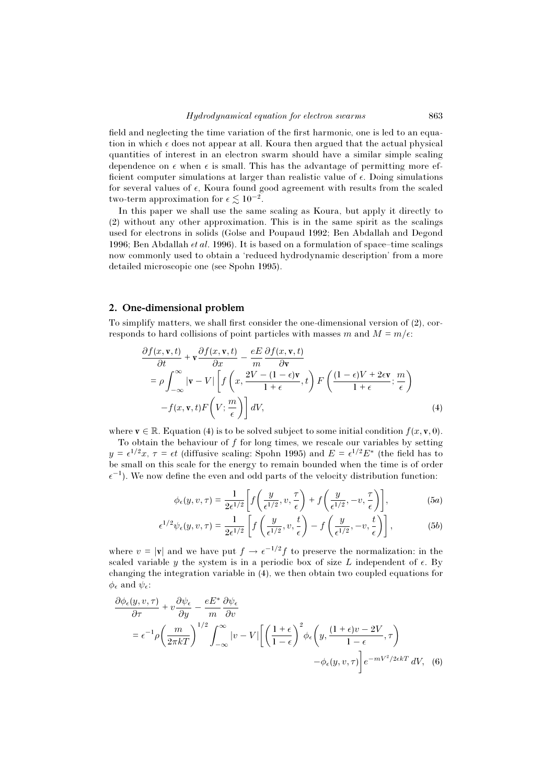field and neglecting the time variation of the first harmonic, one is led to an equation in which  $\epsilon$  does not appear at all. Koura then argued that the actual physical quantities of interest in an electron swarm should have a similar simple scaling dependence on  $\epsilon$  when  $\epsilon$  is small. This has the advantage of permitting more efficient computer simulations at larger than realistic value of  $\epsilon$ . Doing simulations for several values of  $\epsilon$ , Koura found good agreement with results from the scaled two-term approximation for  $\epsilon \lesssim 10^{-2}$ .

In this paper we shall use the same scaling as Koura, but apply it directly to (2) without any other approximation. This is in the same spirit as the scalings used for electrons in solids (Golse and Poupaud 1992; Ben Abdallah and Degond 1996; Ben Abdallah et al. 1996). It is based on a formulation of space–time scalings now commonly used to obtain a 'reduced hydrodynamic description' from a more detailed microscopic one (see Spohn 1995).

#### 2. One-dimensional problem

To simplify matters, we shall first consider the one-dimensional version of (2), corresponds to hard collisions of point particles with masses m and  $M = m/\epsilon$ .

$$
\frac{\partial f(x, \mathbf{v}, t)}{\partial t} + \mathbf{v} \frac{\partial f(x, \mathbf{v}, t)}{\partial x} - \frac{eE}{m} \frac{\partial f(x, \mathbf{v}, t)}{\partial \mathbf{v}} \n= \rho \int_{-\infty}^{\infty} |\mathbf{v} - V| \left[ f\left(x, \frac{2V - (1 - \epsilon)\mathbf{v}}{1 + \epsilon}, t\right) F\left(\frac{(1 - \epsilon)V + 2\epsilon\mathbf{v}}{1 + \epsilon}; \frac{m}{\epsilon}\right) - f(x, \mathbf{v}, t) F\left(V; \frac{m}{\epsilon}\right) \right] dV,
$$
\n(4)

where  $\mathbf{v} \in \mathbb{R}$ . Equation (4) is to be solved subject to some initial condition  $f(x, \mathbf{v}, 0)$ .

To obtain the behaviour of  $f$  for long times, we rescale our variables by setting  $y = \epsilon^{1/2}x$ ,  $\tau = \epsilon t$  (diffusive scaling: Spohn 1995) and  $E = \epsilon^{1/2}E^*$  (the field has to be small on this scale for the energy to remain bounded when the time is of order  $\epsilon^{-1}$ ). We now define the even and odd parts of the velocity distribution function:

$$
\phi_{\epsilon}(y, v, \tau) = \frac{1}{2\epsilon^{1/2}} \left[ f\left(\frac{y}{\epsilon^{1/2}}, v, \frac{\tau}{\epsilon}\right) + f\left(\frac{y}{\epsilon^{1/2}}, -v, \frac{\tau}{\epsilon}\right) \right],\tag{5a}
$$

$$
\epsilon^{1/2}\psi_{\epsilon}(y,v,\tau) = \frac{1}{2\epsilon^{1/2}} \left[ f\left(\frac{y}{\epsilon^{1/2}},v,\frac{t}{\epsilon}\right) - f\left(\frac{y}{\epsilon^{1/2}},-v,\frac{t}{\epsilon}\right) \right],\tag{5b}
$$

where  $v = |\mathbf{v}|$  and we have put  $f \to \epsilon^{-1/2} f$  to preserve the normalization: in the scaled variable y the system is in a periodic box of size L independent of  $\epsilon$ . By changing the integration variable in (4), we then obtain two coupled equations for  $\phi_{\epsilon}$  and  $\psi_{\epsilon}$ :

$$
\frac{\partial \phi_{\epsilon}(y, v, \tau)}{\partial \tau} + v \frac{\partial \psi_{\epsilon}}{\partial y} - \frac{eE^*}{m} \frac{\partial \psi_{\epsilon}}{\partial v}
$$
\n
$$
= \epsilon^{-1} \rho \left(\frac{m}{2\pi kT}\right)^{1/2} \int_{-\infty}^{\infty} |v - V| \left[ \left(\frac{1 + \epsilon}{1 - \epsilon}\right)^2 \phi_{\epsilon} \left(y, \frac{(1 + \epsilon)v - 2V}{1 - \epsilon}, \tau\right) - \phi_{\epsilon}(y, v, \tau) \right] e^{-mV^2/2\epsilon kT} dV, \tag{6}
$$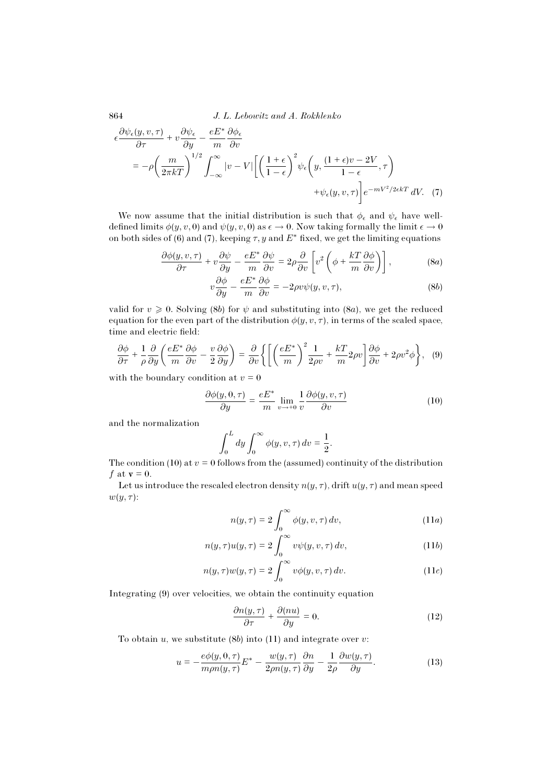$$
\epsilon \frac{\partial \psi_{\epsilon}(y, v, \tau)}{\partial \tau} + v \frac{\partial \psi_{\epsilon}}{\partial y} - \frac{eE^*}{m} \frac{\partial \phi_{\epsilon}}{\partial v}
$$
\n
$$
= -\rho \left(\frac{m}{2\pi kT}\right)^{1/2} \int_{-\infty}^{\infty} |v - V| \left[ \left(\frac{1+\epsilon}{1-\epsilon}\right)^2 \psi_{\epsilon} \left(y, \frac{(1+\epsilon)v - 2V}{1-\epsilon}, \tau\right) + \psi_{\epsilon}(y, v, \tau) \right] e^{-mV^2/2\epsilon kT} dV. \tag{7}
$$

We now assume that the initial distribution is such that  $\phi_{\epsilon}$  and  $\psi_{\epsilon}$  have welldefined limits  $\phi(y, v, 0)$  and  $\psi(y, v, 0)$  as  $\epsilon \to 0$ . Now taking formally the limit  $\epsilon \to 0$ on both sides of (6) and (7), keeping  $\tau$ , y and  $E^*$  fixed, we get the limiting equations

$$
\frac{\partial \phi(y, v, \tau)}{\partial \tau} + v \frac{\partial \psi}{\partial y} - \frac{e E^*}{m} \frac{\partial \psi}{\partial v} = 2\rho \frac{\partial}{\partial v} \left[ v^2 \left( \phi + \frac{kT}{m} \frac{\partial \phi}{\partial v} \right) \right],
$$
 (8a)

$$
v\frac{\partial\phi}{\partial y} - \frac{eE^*}{m}\frac{\partial\phi}{\partial v} = -2\rho v\psi(y, v, \tau),\tag{8b}
$$

valid for  $v \ge 0$ . Solving (8b) for  $\psi$  and substituting into (8a), we get the reduced equation for the even part of the distribution  $\phi(y, v, \tau)$ , in terms of the scaled space, time and electric field:

$$
\frac{\partial \phi}{\partial \tau} + \frac{1}{\rho} \frac{\partial}{\partial y} \left( \frac{e E^*}{m} \frac{\partial \phi}{\partial v} - \frac{v}{2} \frac{\partial \phi}{\partial y} \right) = \frac{\partial}{\partial v} \left\{ \left[ \left( \frac{e E^*}{m} \right)^2 \frac{1}{2\rho v} + \frac{kT}{m} 2\rho v \right] \frac{\partial \phi}{\partial v} + 2\rho v^2 \phi \right\}, \quad (9)
$$

with the boundary condition at  $v = 0$ 

$$
\frac{\partial \phi(y,0,\tau)}{\partial y} = \frac{eE^*}{m} \lim_{v \to +0} \frac{1}{v} \frac{\partial \phi(y,v,\tau)}{\partial v}
$$
(10)

and the normalization

$$
\int_0^L dy \int_0^\infty \phi(y, v, \tau) dv = \frac{1}{2}.
$$

The condition (10) at  $v = 0$  follows from the (assumed) continuity of the distribution f at  $\mathbf{v} = 0$ .

Let us introduce the rescaled electron density  $n(y, \tau)$ , drift  $u(y, \tau)$  and mean speed  $w(y, \tau)$ :

$$
n(y,\tau) = 2\int_0^\infty \phi(y,v,\tau) dv,
$$
 (11*a*)

$$
n(y,\tau)u(y,\tau) = 2\int_0^\infty v\psi(y,v,\tau)\,dv,\tag{11b}
$$

$$
n(y,\tau)w(y,\tau) = 2\int_0^\infty v\phi(y,v,\tau)\,dv. \tag{11c}
$$

Integrating (9) over velocities, we obtain the continuity equation

$$
\frac{\partial n(y,\tau)}{\partial \tau} + \frac{\partial (nu)}{\partial y} = 0.
$$
 (12)

To obtain u, we substitute  $(8b)$  into  $(11)$  and integrate over v:

$$
u = -\frac{e\phi(y, 0, \tau)}{m\rho n(y, \tau)} E^* - \frac{w(y, \tau)}{2\rho n(y, \tau)} \frac{\partial n}{\partial y} - \frac{1}{2\rho} \frac{\partial w(y, \tau)}{\partial y}.
$$
 (13)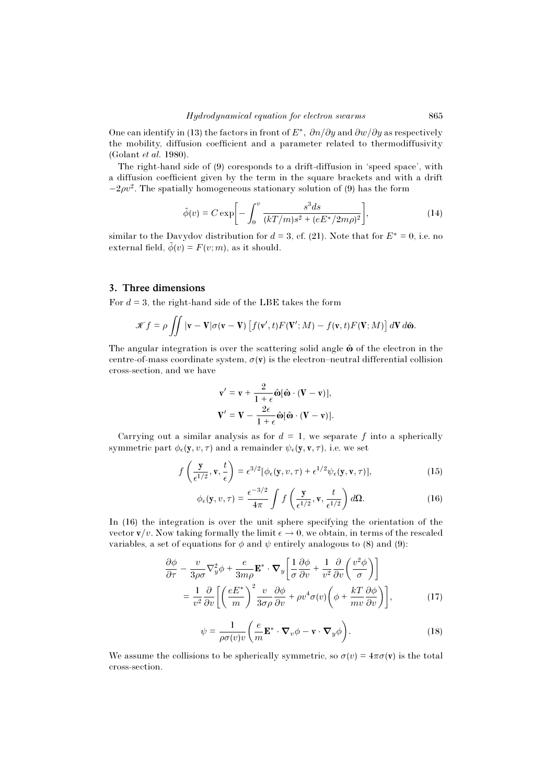One can identify in (13) the factors in front of  $E^*$ ,  $\partial n/\partial y$  and  $\partial w/\partial y$  as respectively the mobility, diffusion coefficient and a parameter related to thermodiffusivity (Golant et al. 1980).

The right-hand side of (9) coresponds to a drift-diffusion in 'speed space', with a diffusion coefficient given by the term in the square brackets and with a drift  $-2\rho v^2$ . The spatially homogeneous stationary solution of (9) has the form

$$
\bar{\phi}(v) = C \exp\bigg[-\int_0^v \frac{s^3 ds}{(kT/m)s^2 + (eE^*/2m\rho)^2}\bigg],\tag{14}
$$

similar to the Davydov distribution for  $d = 3$ , cf. (21). Note that for  $E^* = 0$ , i.e. no external field,  $\bar{\phi}(v) = F(v; m)$ , as it should.

## 3. Three dimensions

For  $d = 3$ , the right-hand side of the LBE takes the form

$$
\mathscr{K}f = \rho \iint |\mathbf{v} - \mathbf{V}| \sigma(\mathbf{v} - \mathbf{V}) \left[ f(\mathbf{v}',t) F(\mathbf{V}';M) - f(\mathbf{v},t) F(\mathbf{V};M) \right] d\mathbf{V} d\hat{\mathbf{\omega}}.
$$

The angular integration is over the scattering solid angle  $\hat{\omega}$  of the electron in the centre-of-mass coordinate system,  $\sigma(\mathbf{v})$  is the electron–neutral differential collision cross-section, and we have

$$
\mathbf{v}' = \mathbf{v} + \frac{2}{1+\epsilon} \hat{\mathbf{\omega}} [\hat{\mathbf{\omega}} \cdot (\mathbf{V} - \mathbf{v})],
$$
  

$$
\mathbf{V}' = \mathbf{V} - \frac{2\epsilon}{1+\epsilon} \hat{\mathbf{\omega}} [\hat{\mathbf{\omega}} \cdot (\mathbf{V} - \mathbf{v})].
$$

Carrying out a similar analysis as for  $d = 1$ , we separate f into a spherically symmetric part  $\phi_{\epsilon}(\mathbf{y}, v, \tau)$  and a remainder  $\psi_{\epsilon}(\mathbf{y}, \mathbf{v}, \tau)$ , i.e. we set

$$
f\left(\frac{\mathbf{y}}{\epsilon^{1/2}}, \mathbf{v}, \frac{t}{\epsilon}\right) = \epsilon^{3/2} [\phi_{\epsilon}(\mathbf{y}, v, \tau) + \epsilon^{1/2} \psi_{\epsilon}(\mathbf{y}, \mathbf{v}, \tau)], \tag{15}
$$

$$
\phi_{\epsilon}(\mathbf{y}, v, \tau) = \frac{\epsilon^{-3/2}}{4\pi} \int f\left(\frac{\mathbf{y}}{\epsilon^{1/2}}, \mathbf{v}, \frac{t}{\epsilon^{1/2}}\right) d\Omega.
$$
 (16)

In (16) the integration is over the unit sphere specifying the orientation of the vector  $\mathbf{v}/v$ . Now taking formally the limit  $\epsilon \to 0$ , we obtain, in terms of the rescaled variables, a set of equations for  $\phi$  and  $\psi$  entirely analogous to (8) and (9):

$$
\frac{\partial \phi}{\partial \tau} - \frac{v}{3\rho\sigma} \nabla_y^2 \phi + \frac{e}{3m\rho} \mathbf{E}^* \cdot \nabla_y \left[ \frac{1}{\sigma} \frac{\partial \phi}{\partial v} + \frac{1}{v^2} \frac{\partial}{\partial v} \left( \frac{v^2 \phi}{\sigma} \right) \right]
$$

$$
= \frac{1}{v^2} \frac{\partial}{\partial v} \left[ \left( \frac{eE^*}{m} \right)^2 \frac{v}{3\sigma\rho} \frac{\partial \phi}{\partial v} + \rho v^4 \sigma(v) \left( \phi + \frac{kT}{mv} \frac{\partial \phi}{\partial v} \right) \right],
$$
(17)

$$
\psi = \frac{1}{\rho \sigma(v)v} \left( \frac{e}{m} \mathbf{E}^* \cdot \mathbf{\nabla}_v \phi - \mathbf{v} \cdot \mathbf{\nabla}_y \phi \right). \tag{18}
$$

We assume the collisions to be spherically symmetric, so  $\sigma(v)=4\pi\sigma(v)$  is the total cross-section.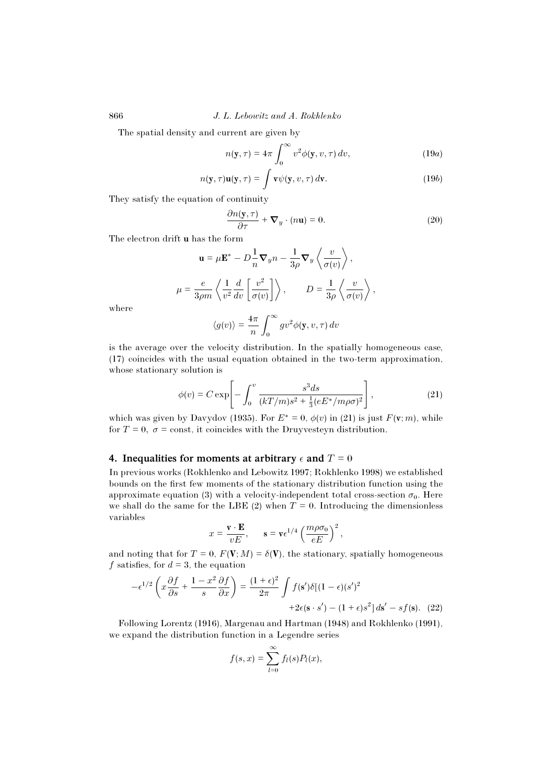The spatial density and current are given by

$$
n(\mathbf{y}, \tau) = 4\pi \int_0^\infty v^2 \phi(\mathbf{y}, v, \tau) dv,
$$
 (19*a*)

$$
n(\mathbf{y}, \tau)\mathbf{u}(\mathbf{y}, \tau) = \int \mathbf{v}\psi(\mathbf{y}, v, \tau) d\mathbf{v}.
$$
 (19b)

They satisfy the equation of continuity

$$
\frac{\partial n(\mathbf{y}, \tau)}{\partial \tau} + \mathbf{\nabla}_y \cdot (n\mathbf{u}) = 0.
$$
 (20)

The electron drift **u** has the form

$$
\mathbf{u} = \mu \mathbf{E}^* - D\frac{1}{n}\nabla_y n - \frac{1}{3\rho}\nabla_y \left\langle \frac{v}{\sigma(v)} \right\rangle,
$$
  

$$
\mu = \frac{e}{3\rho m} \left\langle \frac{1}{v^2} \frac{d}{dv} \left[ \frac{v^2}{\sigma(v)} \right] \right\rangle, \qquad D = \frac{1}{3\rho} \left\langle \frac{v}{\sigma(v)} \right\rangle,
$$
  

$$
\left\langle g(v) \right\rangle = \frac{4\pi}{\rho} \int_{-\infty}^{\infty} g v^2 \phi(\mathbf{y}, v, \tau) dv
$$

where

$$
\langle g(v) \rangle = \frac{4\pi}{n} \int_0^\infty g v^2 \phi(\mathbf{y}, v, \tau) dv
$$

is the average over the velocity distribution. In the spatially homogeneous case, (17) coincides with the usual equation obtained in the two-term approximation, whose stationary solution is

$$
\phi(v) = C \exp\left[-\int_0^v \frac{s^3 ds}{(kT/m)s^2 + \frac{1}{3}(eE^* / m\rho\sigma)^2}\right],
$$
\n(21)

which was given by Davydov (1935). For  $E^* = 0$ ,  $\phi(v)$  in (21) is just  $F(\mathbf{v}; m)$ , while for  $T = 0$ ,  $\sigma = \text{const}$ , it coincides with the Druyvesteyn distribution.

## 4. Inequalities for moments at arbitrary  $\epsilon$  and  $T = 0$

In previous works (Rokhlenko and Lebowitz 1997; Rokhlenko 1998) we established bounds on the first few moments of the stationary distribution function using the approximate equation (3) with a velocity-independent total cross-section  $\sigma_0$ . Here we shall do the same for the LBE (2) when  $T = 0$ . Introducing the dimensionless variables

$$
x = \frac{\mathbf{v} \cdot \mathbf{E}}{vE}, \quad \mathbf{s} = \mathbf{v} \epsilon^{1/4} \left( \frac{m\rho \sigma_0}{eE} \right)^2,
$$

and noting that for  $T = 0$ ,  $F(\mathbf{V}; M) = \delta(\mathbf{V})$ , the stationary, spatially homogeneous f satisfies, for  $d = 3$ , the equation

$$
-\epsilon^{1/2}\left(x\frac{\partial f}{\partial s} + \frac{1-x^2}{s}\frac{\partial f}{\partial x}\right) = \frac{(1+\epsilon)^2}{2\pi} \int f(\mathbf{s}')\delta[(1-\epsilon)(s')^2 + 2\epsilon(\mathbf{s}\cdot s') - (1+\epsilon)s^2] \, ds' - sf(\mathbf{s}). \tag{22}
$$

Following Lorentz (1916), Margenau and Hartman (1948) and Rokhlenko (1991), we expand the distribution function in a Legendre series

$$
f(s,x)=\sum_{l=0}^{\infty}f_l(s)P_l(x),
$$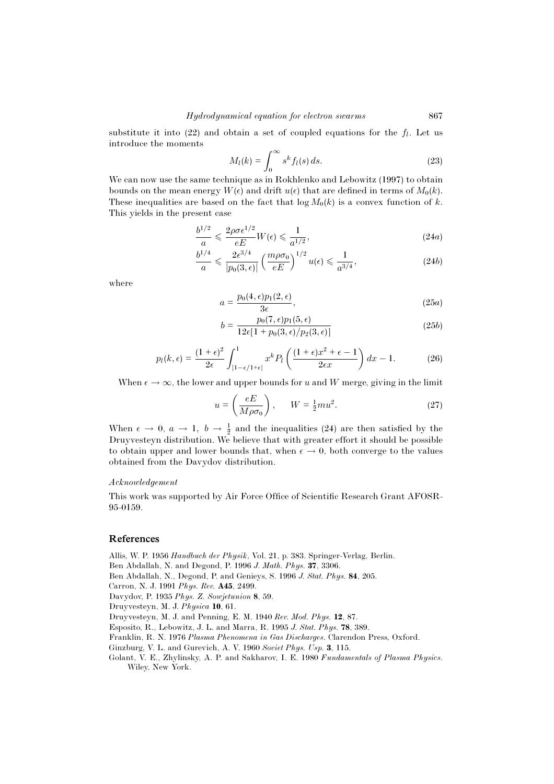substitute it into (22) and obtain a set of coupled equations for the  $f_l$ . Let us introduce the moments

$$
M_l(k) = \int_0^\infty s^k f_l(s) \, ds. \tag{23}
$$

We can now use the same technique as in Rokhlenko and Lebowitz (1997) to obtain bounds on the mean energy  $W(\epsilon)$  and drift  $u(\epsilon)$  that are defined in terms of  $M_0(k)$ . These inequalities are based on the fact that  $\log M_0(k)$  is a convex function of k. This yields in the present case

$$
\frac{b^{1/2}}{a} \leqslant \frac{2\rho \sigma \epsilon^{1/2}}{eE} W(\epsilon) \leqslant \frac{1}{a^{1/2}},\tag{24a}
$$

$$
\frac{b^{1/4}}{a} \leqslant \frac{2\epsilon^{3/4}}{|p_0(3,\epsilon)|} \left(\frac{m\rho\sigma_0}{eE}\right)^{1/2} u(\epsilon) \leqslant \frac{1}{a^{3/4}},\tag{24b}
$$

where

$$
a = \frac{p_0(4, \epsilon)p_1(2, \epsilon)}{3\epsilon},\tag{25a}
$$

$$
b = \frac{p_0(7, \epsilon)p_1(5, \epsilon)}{12\epsilon[1 + p_0(3, \epsilon)/p_2(3, \epsilon)]}
$$
(25b)

$$
p_l(k,\epsilon) = \frac{(1+\epsilon)^2}{2\epsilon} \int_{|1-\epsilon/1+\epsilon|}^{1} x^k P_l\left(\frac{(1+\epsilon)x^2+\epsilon-1}{2\epsilon x}\right) dx - 1.
$$
 (26)

When  $\epsilon \to \infty$ , the lower and upper bounds for u and W merge, giving in the limit

$$
u = \left(\frac{eE}{M\rho\sigma_0}\right), \qquad W = \frac{1}{2}mu^2. \tag{27}
$$

When  $\epsilon \to 0$ ,  $a \to 1$ ,  $b \to \frac{1}{2}$  and the inequalities (24) are then satisfied by the Druyvesteyn distribution. We believe that with greater effort it should be possible to obtain upper and lower bounds that, when  $\epsilon \to 0$ , both converge to the values obtained from the Davydov distribution.

#### Acknowledgement

This work was supported by Air Force Office of Scientific Research Grant AFOSR-95-0159.

### References

Allis, W. P. 1956 Handbuch der Physik, Vol. 21, p. 383. Springer-Verlag, Berlin.

Ben Abdallah, N. and Degond, P. 1996 J. Math. Phys. **37**, 3306.

Ben Abdallah, N., Degond, P. and Genieys, S. 1996 J. Stat. Phys. **84**, 205.

- Carron, N. J. 1991 Phys. Rev. **A45**, 2499.
- Davydov, P. 1935 Phys. Z. Sowjetunion **8**, 59.
- Druyvesteyn, M. J. Physica **10**, 61.

Druyvesteyn, M. J. and Penning, E. M. 1940 Rev. Mod. Phys. **12**, 87.

Esposito, R., Lebowitz, J. L. and Marra, R. 1995 J. Stat. Phys. **78**, 389.

- Franklin, R. N. 1976 Plasma Phenomena in Gas Discharges. Clarendon Press, Oxford.
- Ginzburg, V. L. and Gurevich, A. V. 1960 Soviet Phys. Usp. **3**, 115.
- Golant, V. E., Zhylinsky, A. P. and Sakharov, I. E. 1980 Fundamentals of Plasma Physics. Wiley, New York.